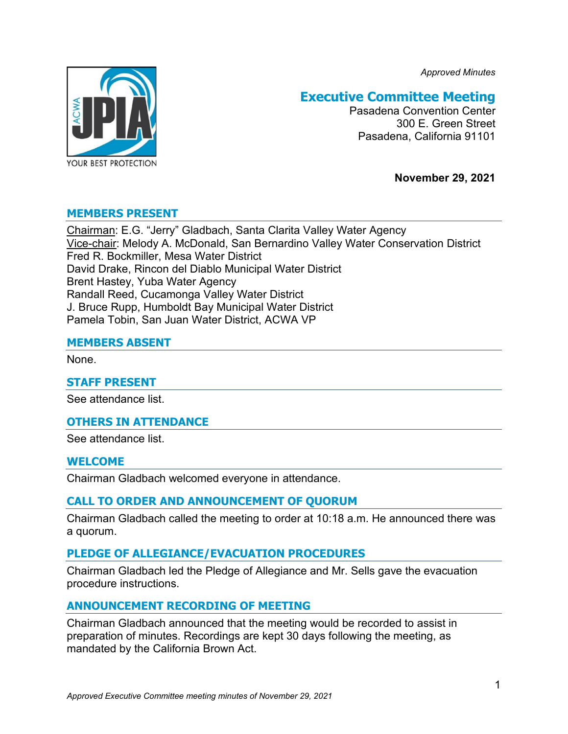*Approved Minutes*



# **Executive Committee Meeting**

Pasadena Convention Center 300 E. Green Street Pasadena, California 91101

**November 29, 2021**

## **MEMBERS PRESENT**

Chairman: E.G. "Jerry" Gladbach, Santa Clarita Valley Water Agency Vice-chair: Melody A. McDonald, San Bernardino Valley Water Conservation District Fred R. Bockmiller, Mesa Water District David Drake, Rincon del Diablo Municipal Water District Brent Hastey, Yuba Water Agency Randall Reed, Cucamonga Valley Water District J. Bruce Rupp, Humboldt Bay Municipal Water District Pamela Tobin, San Juan Water District, ACWA VP

## **MEMBERS ABSENT**

None.

### **STAFF PRESENT**

See attendance list.

## **OTHERS IN ATTENDANCE**

See attendance list.

### **WELCOME**

Chairman Gladbach welcomed everyone in attendance.

## **CALL TO ORDER AND ANNOUNCEMENT OF QUORUM**

Chairman Gladbach called the meeting to order at 10:18 a.m. He announced there was a quorum.

## **PLEDGE OF ALLEGIANCE/EVACUATION PROCEDURES**

Chairman Gladbach led the Pledge of Allegiance and Mr. Sells gave the evacuation procedure instructions.

## **ANNOUNCEMENT RECORDING OF MEETING**

Chairman Gladbach announced that the meeting would be recorded to assist in preparation of minutes. Recordings are kept 30 days following the meeting, as mandated by the California Brown Act.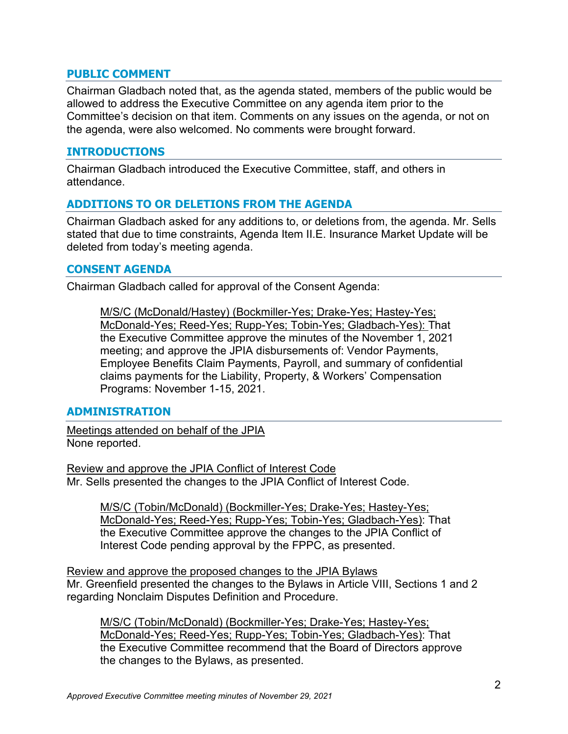## **PUBLIC COMMENT**

Chairman Gladbach noted that, as the agenda stated, members of the public would be allowed to address the Executive Committee on any agenda item prior to the Committee's decision on that item. Comments on any issues on the agenda, or not on the agenda, were also welcomed. No comments were brought forward.

## **INTRODUCTIONS**

Chairman Gladbach introduced the Executive Committee, staff, and others in attendance.

## **ADDITIONS TO OR DELETIONS FROM THE AGENDA**

Chairman Gladbach asked for any additions to, or deletions from, the agenda. Mr. Sells stated that due to time constraints, Agenda Item II.E. Insurance Market Update will be deleted from today's meeting agenda.

## **CONSENT AGENDA**

Chairman Gladbach called for approval of the Consent Agenda:

M/S/C (McDonald/Hastey) (Bockmiller-Yes; Drake-Yes; Hastey-Yes; McDonald-Yes; Reed-Yes; Rupp-Yes; Tobin-Yes; Gladbach-Yes): That the Executive Committee approve the minutes of the November 1, 2021 meeting; and approve the JPIA disbursements of: Vendor Payments, Employee Benefits Claim Payments, Payroll, and summary of confidential claims payments for the Liability, Property, & Workers' Compensation Programs: November 1-15, 2021.

### **ADMINISTRATION**

Meetings attended on behalf of the JPIA None reported.

Review and approve the JPIA Conflict of Interest Code Mr. Sells presented the changes to the JPIA Conflict of Interest Code.

M/S/C (Tobin/McDonald) (Bockmiller-Yes; Drake-Yes; Hastey-Yes; McDonald-Yes; Reed-Yes; Rupp-Yes; Tobin-Yes; Gladbach-Yes): That the Executive Committee approve the changes to the JPIA Conflict of Interest Code pending approval by the FPPC, as presented.

Review and approve the proposed changes to the JPIA Bylaws Mr. Greenfield presented the changes to the Bylaws in Article VIII, Sections 1 and 2 regarding Nonclaim Disputes Definition and Procedure.

M/S/C (Tobin/McDonald) (Bockmiller-Yes; Drake-Yes; Hastey-Yes; McDonald-Yes; Reed-Yes; Rupp-Yes; Tobin-Yes; Gladbach-Yes): That the Executive Committee recommend that the Board of Directors approve the changes to the Bylaws, as presented.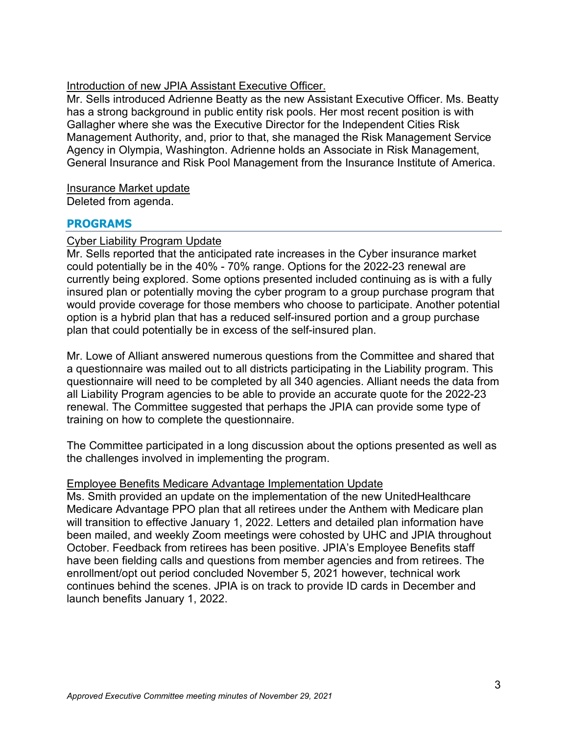## Introduction of new JPIA Assistant Executive Officer.

Mr. Sells introduced Adrienne Beatty as the new Assistant Executive Officer. Ms. Beatty has a strong background in public entity risk pools. Her most recent position is with Gallagher where she was the Executive Director for the Independent Cities Risk Management Authority, and, prior to that, she managed the Risk Management Service Agency in Olympia, Washington. Adrienne holds an Associate in Risk Management, General Insurance and Risk Pool Management from the Insurance Institute of America.

Insurance Market update

Deleted from agenda.

## **PROGRAMS**

## Cyber Liability Program Update

Mr. Sells reported that the anticipated rate increases in the Cyber insurance market could potentially be in the 40% - 70% range. Options for the 2022-23 renewal are currently being explored. Some options presented included continuing as is with a fully insured plan or potentially moving the cyber program to a group purchase program that would provide coverage for those members who choose to participate. Another potential option is a hybrid plan that has a reduced self-insured portion and a group purchase plan that could potentially be in excess of the self-insured plan.

Mr. Lowe of Alliant answered numerous questions from the Committee and shared that a questionnaire was mailed out to all districts participating in the Liability program. This questionnaire will need to be completed by all 340 agencies. Alliant needs the data from all Liability Program agencies to be able to provide an accurate quote for the 2022-23 renewal. The Committee suggested that perhaps the JPIA can provide some type of training on how to complete the questionnaire.

The Committee participated in a long discussion about the options presented as well as the challenges involved in implementing the program.

## Employee Benefits Medicare Advantage Implementation Update

Ms. Smith provided an update on the implementation of the new UnitedHealthcare Medicare Advantage PPO plan that all retirees under the Anthem with Medicare plan will transition to effective January 1, 2022. Letters and detailed plan information have been mailed, and weekly Zoom meetings were cohosted by UHC and JPIA throughout October. Feedback from retirees has been positive. JPIA's Employee Benefits staff have been fielding calls and questions from member agencies and from retirees. The enrollment/opt out period concluded November 5, 2021 however, technical work continues behind the scenes. JPIA is on track to provide ID cards in December and launch benefits January 1, 2022.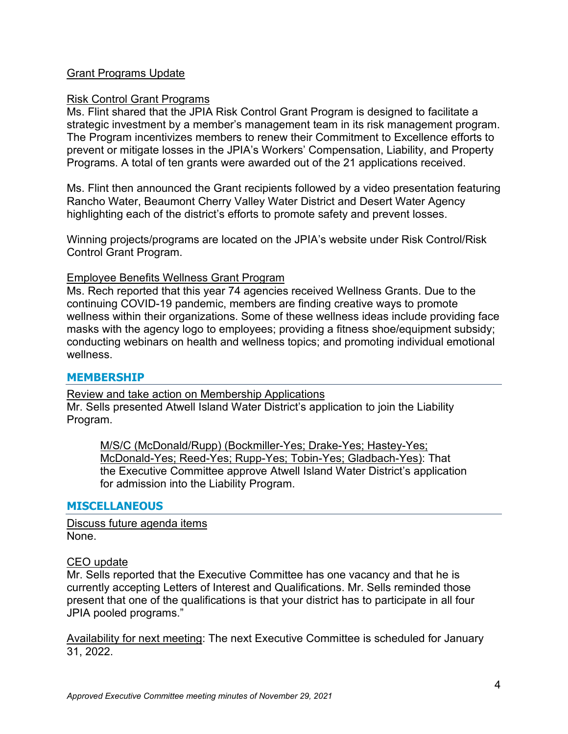## Grant Programs Update

## Risk Control Grant Programs

Ms. Flint shared that the JPIA Risk Control Grant Program is designed to facilitate a strategic investment by a member's management team in its risk management program. The Program incentivizes members to renew their Commitment to Excellence efforts to prevent or mitigate losses in the JPIA's Workers' Compensation, Liability, and Property Programs. A total of ten grants were awarded out of the 21 applications received.

Ms. Flint then announced the Grant recipients followed by a video presentation featuring Rancho Water, Beaumont Cherry Valley Water District and Desert Water Agency highlighting each of the district's efforts to promote safety and prevent losses.

Winning projects/programs are located on the JPIA's website under Risk Control/Risk Control Grant Program.

## Employee Benefits Wellness Grant Program

Ms. Rech reported that this year 74 agencies received Wellness Grants. Due to the continuing COVID-19 pandemic, members are finding creative ways to promote wellness within their organizations. Some of these wellness ideas include providing face masks with the agency logo to employees; providing a fitness shoe/equipment subsidy; conducting webinars on health and wellness topics; and promoting individual emotional wellness.

## **MEMBERSHIP**

Review and take action on Membership Applications Mr. Sells presented Atwell Island Water District's application to join the Liability Program.

M/S/C (McDonald/Rupp) (Bockmiller-Yes; Drake-Yes; Hastey-Yes; McDonald-Yes; Reed-Yes; Rupp-Yes; Tobin-Yes; Gladbach-Yes): That the Executive Committee approve Atwell Island Water District's application for admission into the Liability Program.

## **MISCELLANEOUS**

Discuss future agenda items None.

## CEO update

Mr. Sells reported that the Executive Committee has one vacancy and that he is currently accepting Letters of Interest and Qualifications. Mr. Sells reminded those present that one of the qualifications is that your district has to participate in all four JPIA pooled programs."

Availability for next meeting: The next Executive Committee is scheduled for January 31, 2022.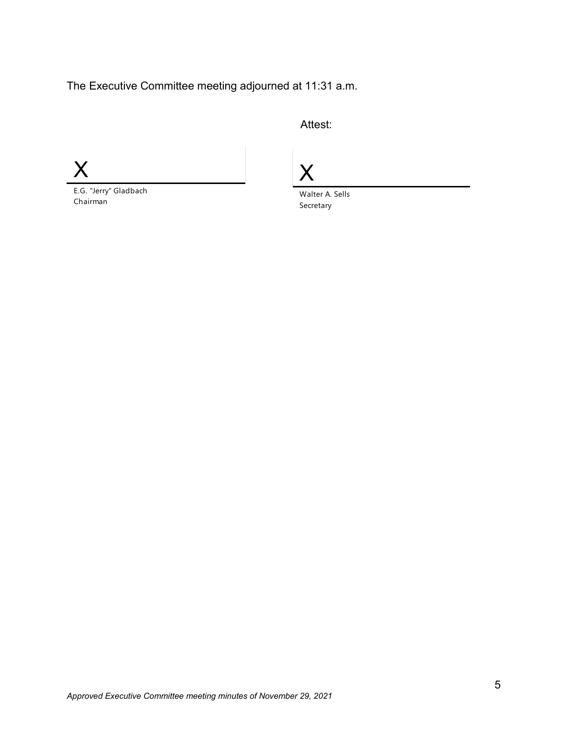The Executive Committee meeting adjourned at 11:31 a.m.

Attest:

X

E.G. "Jerry" Gladbach Chairman

X

Walter A. Sells Secretary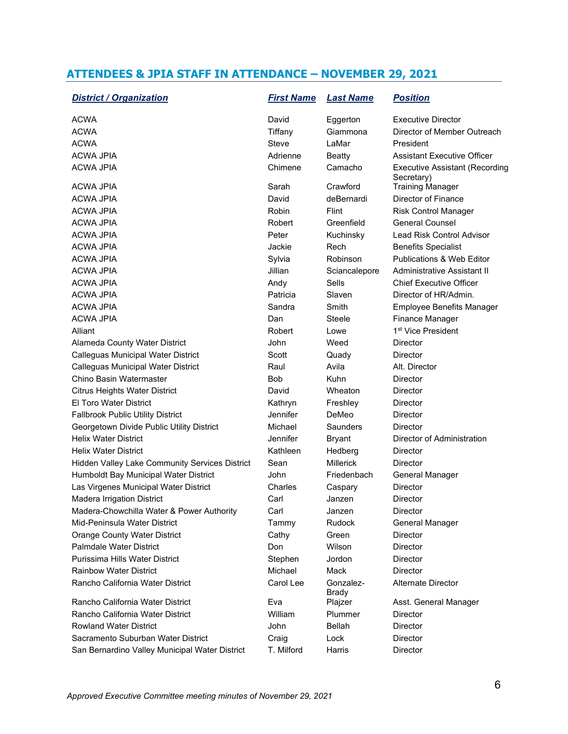# **ATTENDEES & JPIA STAFF IN ATTENDANCE – NOVEMBER 29, 2021**

| <b>District / Organization</b>                 | <b>First Name</b> | <b>Last Name</b>          | <b>Position</b>                                     |
|------------------------------------------------|-------------------|---------------------------|-----------------------------------------------------|
| ACWA                                           | David             | Eggerton                  | <b>Executive Director</b>                           |
| <b>ACWA</b>                                    | Tiffany           | Giammona                  | Director of Member Outreach                         |
| <b>ACWA</b>                                    | Steve             | LaMar                     | President                                           |
| ACWA JPIA                                      | Adrienne          | <b>Beatty</b>             | <b>Assistant Executive Officer</b>                  |
| <b>ACWA JPIA</b>                               | Chimene           | Camacho                   | <b>Executive Assistant (Recording</b><br>Secretary) |
| <b>ACWA JPIA</b>                               | Sarah             | Crawford                  | <b>Training Manager</b>                             |
| ACWA JPIA                                      | David             | deBernardi                | Director of Finance                                 |
| <b>ACWA JPIA</b>                               | Robin             | Flint                     | <b>Risk Control Manager</b>                         |
| ACWA JPIA                                      | Robert            | Greenfield                | <b>General Counsel</b>                              |
| ACWA JPIA                                      | Peter             | Kuchinsky                 | Lead Risk Control Advisor                           |
| <b>ACWA JPIA</b>                               | Jackie            | Rech                      | <b>Benefits Specialist</b>                          |
| <b>ACWA JPIA</b>                               | Sylvia            | Robinson                  | <b>Publications &amp; Web Editor</b>                |
| ACWA JPIA                                      | Jillian           | Sciancalepore             | Administrative Assistant II                         |
| <b>ACWA JPIA</b>                               | Andy              | Sells                     | <b>Chief Executive Officer</b>                      |
| <b>ACWA JPIA</b>                               | Patricia          | Slaven                    | Director of HR/Admin.                               |
| <b>ACWA JPIA</b>                               | Sandra            | Smith                     | <b>Employee Benefits Manager</b>                    |
| <b>ACWA JPIA</b>                               | Dan               | Steele                    | Finance Manager                                     |
| Alliant                                        | Robert            | Lowe                      | 1 <sup>st</sup> Vice President                      |
| Alameda County Water District                  | John              | Weed                      | Director                                            |
| Calleguas Municipal Water District             | Scott             | Quady                     | <b>Director</b>                                     |
| Calleguas Municipal Water District             | Raul              | Avila                     | Alt. Director                                       |
| Chino Basin Watermaster                        | <b>Bob</b>        | Kuhn                      | <b>Director</b>                                     |
| <b>Citrus Heights Water District</b>           | David             | Wheaton                   | <b>Director</b>                                     |
| El Toro Water District                         | Kathryn           | Freshley                  | <b>Director</b>                                     |
| <b>Fallbrook Public Utility District</b>       | Jennifer          | DeMeo                     | <b>Director</b>                                     |
| Georgetown Divide Public Utility District      | Michael           | Saunders                  | <b>Director</b>                                     |
| <b>Helix Water District</b>                    | Jennifer          | <b>Bryant</b>             | Director of Administration                          |
| <b>Helix Water District</b>                    | Kathleen          | Hedberg                   | <b>Director</b>                                     |
| Hidden Valley Lake Community Services District | Sean              | <b>Millerick</b>          | <b>Director</b>                                     |
| Humboldt Bay Municipal Water District          | John              | Friedenbach               | General Manager                                     |
| Las Virgenes Municipal Water District          | Charles           | Caspary                   | <b>Director</b>                                     |
| <b>Madera Irrigation District</b>              | Carl              | Janzen                    | <b>Director</b>                                     |
| Madera-Chowchilla Water & Power Authority      | Carl              | Janzen                    | Director                                            |
| Mid-Peninsula Water District                   | Tammy             | Rudock                    | General Manager                                     |
| <b>Orange County Water District</b>            | Cathy             | Green                     | <b>Director</b>                                     |
| Palmdale Water District                        | Don               | Wilson                    | <b>Director</b>                                     |
| Purissima Hills Water District                 | Stephen           | Jordon                    | Director                                            |
| <b>Rainbow Water District</b>                  | Michael           | Mack                      | <b>Director</b>                                     |
| Rancho California Water District               | Carol Lee         | Gonzalez-<br><b>Brady</b> | Alternate Director                                  |
| Rancho California Water District               | Eva               | Plajzer                   | Asst. General Manager                               |
| Rancho California Water District               | William           | Plummer                   | Director                                            |
| <b>Rowland Water District</b>                  | John              | Bellah                    | <b>Director</b>                                     |
| Sacramento Suburban Water District             | Craig             | Lock                      | Director                                            |
| San Bernardino Valley Municipal Water District | T. Milford        | Harris                    | Director                                            |